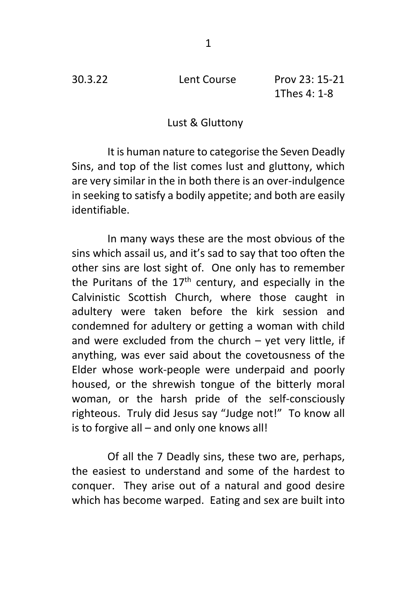30.3.22 Lent Course Prov 23: 15-21 1Thes 4: 1-8

## Lust & Gluttony

It is human nature to categorise the Seven Deadly Sins, and top of the list comes lust and gluttony, which are very similar in the in both there is an over-indulgence in seeking to satisfy a bodily appetite; and both are easily identifiable.

In many ways these are the most obvious of the sins which assail us, and it's sad to say that too often the other sins are lost sight of. One only has to remember the Puritans of the  $17<sup>th</sup>$  century, and especially in the Calvinistic Scottish Church, where those caught in adultery were taken before the kirk session and condemned for adultery or getting a woman with child and were excluded from the church – yet very little, if anything, was ever said about the covetousness of the Elder whose work-people were underpaid and poorly housed, or the shrewish tongue of the bitterly moral woman, or the harsh pride of the self-consciously righteous. Truly did Jesus say "Judge not!" To know all is to forgive all – and only one knows all!

Of all the 7 Deadly sins, these two are, perhaps, the easiest to understand and some of the hardest to conquer. They arise out of a natural and good desire which has become warped. Eating and sex are built into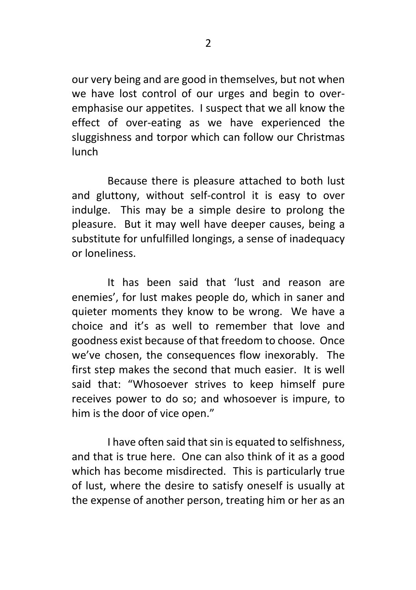our very being and are good in themselves, but not when we have lost control of our urges and begin to overemphasise our appetites. I suspect that we all know the effect of over-eating as we have experienced the sluggishness and torpor which can follow our Christmas lunch

Because there is pleasure attached to both lust and gluttony, without self-control it is easy to over indulge. This may be a simple desire to prolong the pleasure. But it may well have deeper causes, being a substitute for unfulfilled longings, a sense of inadequacy or loneliness.

It has been said that 'lust and reason are enemies', for lust makes people do, which in saner and quieter moments they know to be wrong. We have a choice and it's as well to remember that love and goodness exist because of that freedom to choose. Once we've chosen, the consequences flow inexorably. The first step makes the second that much easier. It is well said that: "Whosoever strives to keep himself pure receives power to do so; and whosoever is impure, to him is the door of vice open."

I have often said that sin is equated to selfishness, and that is true here. One can also think of it as a good which has become misdirected. This is particularly true of lust, where the desire to satisfy oneself is usually at the expense of another person, treating him or her as an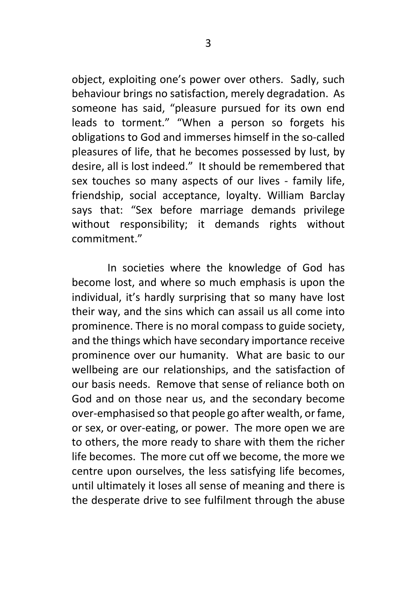object, exploiting one's power over others. Sadly, such behaviour brings no satisfaction, merely degradation. As someone has said, "pleasure pursued for its own end leads to torment." "When a person so forgets his obligations to God and immerses himself in the so-called pleasures of life, that he becomes possessed by lust, by desire, all is lost indeed." It should be remembered that sex touches so many aspects of our lives - family life, friendship, social acceptance, loyalty. William Barclay says that: "Sex before marriage demands privilege without responsibility; it demands rights without commitment."

In societies where the knowledge of God has become lost, and where so much emphasis is upon the individual, it's hardly surprising that so many have lost their way, and the sins which can assail us all come into prominence. There is no moral compass to guide society, and the things which have secondary importance receive prominence over our humanity. What are basic to our wellbeing are our relationships, and the satisfaction of our basis needs. Remove that sense of reliance both on God and on those near us, and the secondary become over-emphasised so that people go after wealth, or fame, or sex, or over-eating, or power. The more open we are to others, the more ready to share with them the richer life becomes. The more cut off we become, the more we centre upon ourselves, the less satisfying life becomes, until ultimately it loses all sense of meaning and there is the desperate drive to see fulfilment through the abuse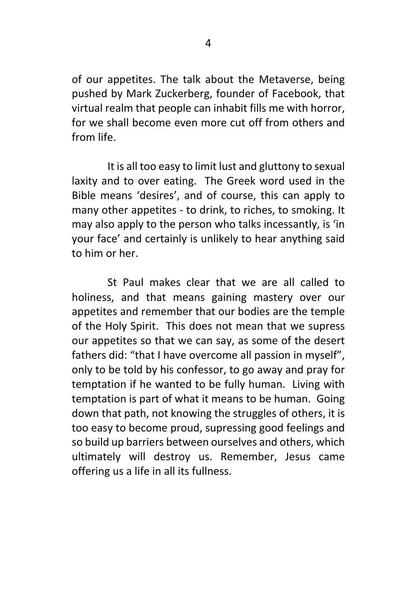of our appetites. The talk about the Metaverse, being pushed by Mark Zuckerberg, founder of Facebook, that virtual realm that people can inhabit fills me with horror, for we shall become even more cut off from others and from life.

It is all too easy to limit lust and gluttony to sexual laxity and to over eating. The Greek word used in the Bible means 'desires', and of course, this can apply to many other appetites - to drink, to riches, to smoking. It may also apply to the person who talks incessantly, is 'in your face' and certainly is unlikely to hear anything said to him or her.

St Paul makes clear that we are all called to holiness, and that means gaining mastery over our appetites and remember that our bodies are the temple of the Holy Spirit. This does not mean that we supress our appetites so that we can say, as some of the desert fathers did: "that I have overcome all passion in myself", only to be told by his confessor, to go away and pray for temptation if he wanted to be fully human. Living with temptation is part of what it means to be human. Going down that path, not knowing the struggles of others, it is too easy to become proud, supressing good feelings and so build up barriers between ourselves and others, which ultimately will destroy us. Remember, Jesus came offering us a life in all its fullness.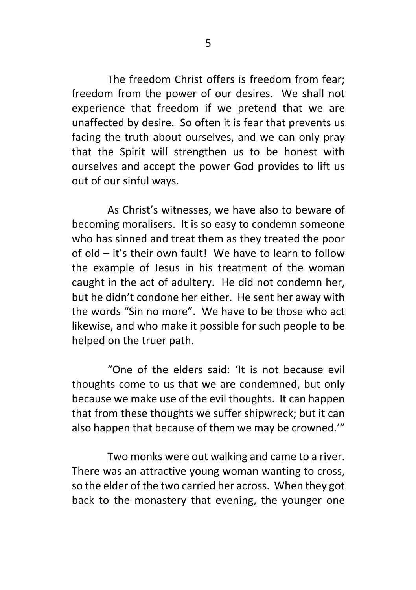The freedom Christ offers is freedom from fear; freedom from the power of our desires. We shall not experience that freedom if we pretend that we are unaffected by desire. So often it is fear that prevents us facing the truth about ourselves, and we can only pray that the Spirit will strengthen us to be honest with ourselves and accept the power God provides to lift us out of our sinful ways.

As Christ's witnesses, we have also to beware of becoming moralisers. It is so easy to condemn someone who has sinned and treat them as they treated the poor of old – it's their own fault! We have to learn to follow the example of Jesus in his treatment of the woman caught in the act of adultery. He did not condemn her, but he didn't condone her either. He sent her away with the words "Sin no more". We have to be those who act likewise, and who make it possible for such people to be helped on the truer path.

"One of the elders said: 'It is not because evil thoughts come to us that we are condemned, but only because we make use of the evil thoughts. It can happen that from these thoughts we suffer shipwreck; but it can also happen that because of them we may be crowned.'"

Two monks were out walking and came to a river. There was an attractive young woman wanting to cross, so the elder of the two carried her across. When they got back to the monastery that evening, the younger one